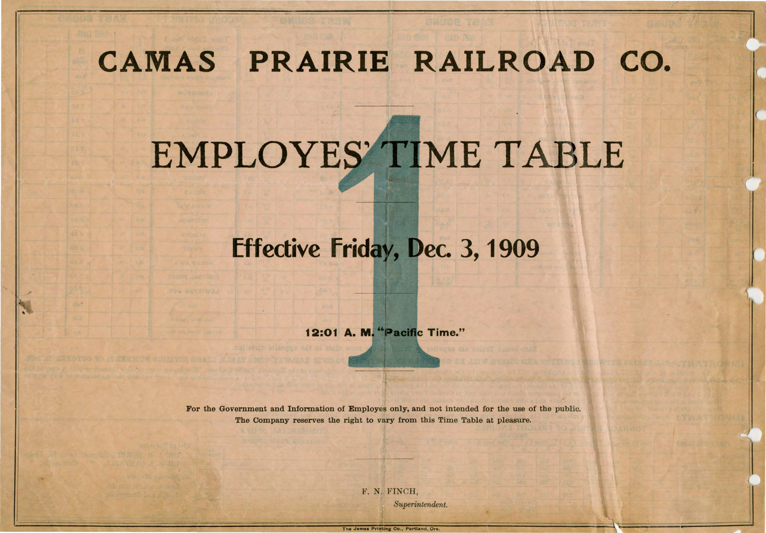## **CAMAS PRAIRIE RAILROAD co.**

## EMPLOYES' TIME TABLE

## **Effective Friday, Dec. 3, 1909**

12:01 A. M. "Pacific Time."

For the Government and Information of Employes only, and not intended for the use of the public. The Company reserves the right to vary from this Time Table at pleasure.

> F. N. FINCH, *Superintendent.*

**The James Printing Co., Portland,** Ore.